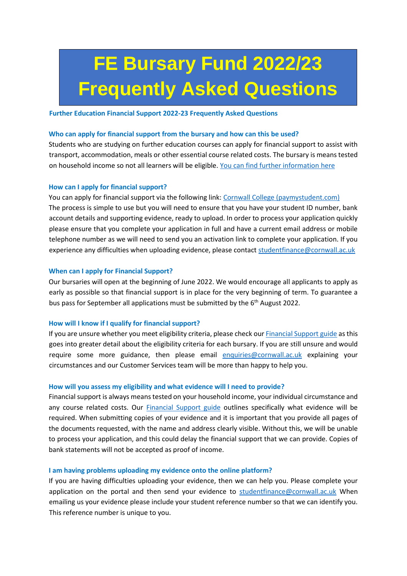# **FE Bursary Fund 2022/23 Frequently Asked Questions**

#### **Further Education Financial Support 2022-23 Frequently Asked Questions**

## **Who can apply for financial support from the bursary and how can this be used?**

Students who are studying on further education courses can apply for financial support to assist with transport, accommodation, meals or other essential course related costs. The bursary is means tested on household income so not all learners will be eligible. [You can find further information](https://www.cornwall.ac.uk/financial-support) here

# **How can I apply for financial support?**

You can apply for financial support via the following link: [Cornwall College \(paymystudent.com\)](https://cornwall.paymystudent.com/portal/) The process is simple to use but you will need to ensure that you have your student ID number, bank account details and supporting evidence, ready to upload. In order to process your application quickly please ensure that you complete your application in full and have a current email address or mobile telephone number as we will need to send you an activation link to complete your application. If you experience any difficulties when uploading evidence, please contact studentfinance@cornwall.ac.uk

## **When can I apply for Financial Support?**

Our bursaries will open at the beginning of June 2022. We would encourage all applicants to apply as early as possible so that financial support is in place for the very beginning of term. To guarantee a bus pass for September all applications must be submitted by the 6<sup>th</sup> August 2022.

# **How will I know if I qualify for financial support?**

If you are unsure whether you meet eligibility criteria, please check ou[r Financial Support guide](https://www.cornwall.ac.uk/financial-support) as this goes into greater detail about the eligibility criteria for each bursary. If you are still unsure and would require some more guidance, then please email [enquiries@cornwall.ac.uk](mailto:enquiries@cornwall.ac.uk) explaining your circumstances and our Customer Services team will be more than happy to help you.

#### **How will you assess my eligibility and what evidence will I need to provide?**

Financial support is always means tested on your household income, your individual circumstance and any course related costs. Our **[Financial Support guide](https://www.cornwall.ac.uk/financial-support)** outlines specifically what evidence will be required. When submitting copies of your evidence and it is important that you provide all pages of the documents requested, with the name and address clearly visible. Without this, we will be unable to process your application, and this could delay the financial support that we can provide. Copies of bank statements will not be accepted as proof of income.

#### **I am having problems uploading my evidence onto the online platform?**

If you are having difficulties uploading your evidence, then we can help you. Please complete your application on the portal and then send your evidence to studentfinance@cornwall.ac.uk When emailing us your evidence please include your student reference number so that we can identify you. This reference number is unique to you.